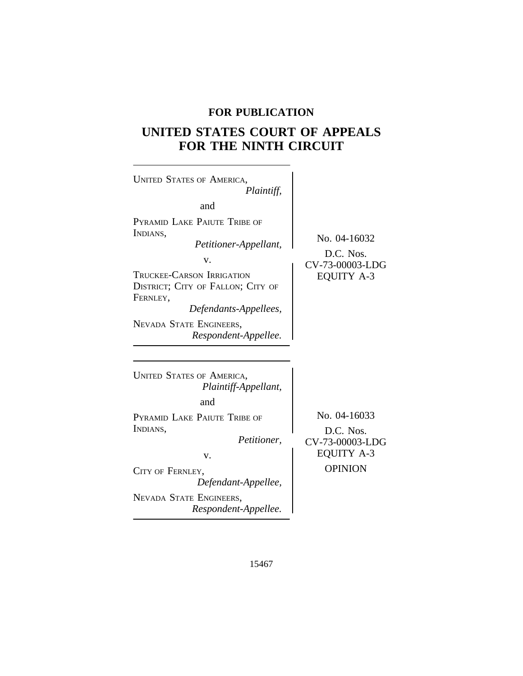# **FOR PUBLICATION**

# **UNITED STATES COURT OF APPEALS FOR THE NINTH CIRCUIT**

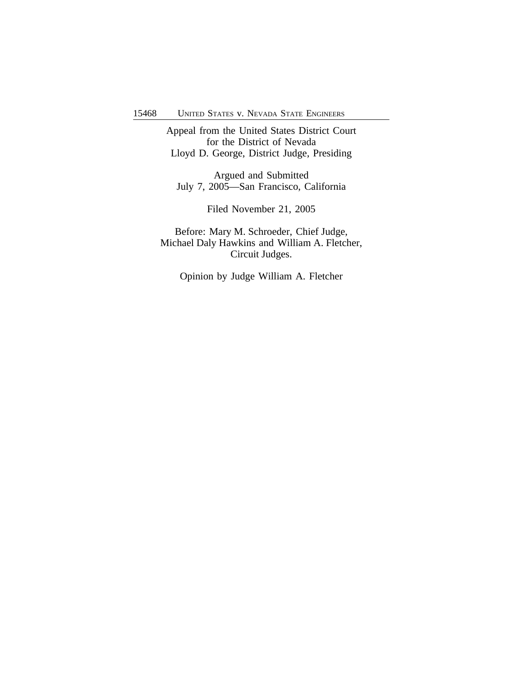Appeal from the United States District Court for the District of Nevada Lloyd D. George, District Judge, Presiding

Argued and Submitted July 7, 2005—San Francisco, California

Filed November 21, 2005

Before: Mary M. Schroeder, Chief Judge, Michael Daly Hawkins and William A. Fletcher, Circuit Judges.

Opinion by Judge William A. Fletcher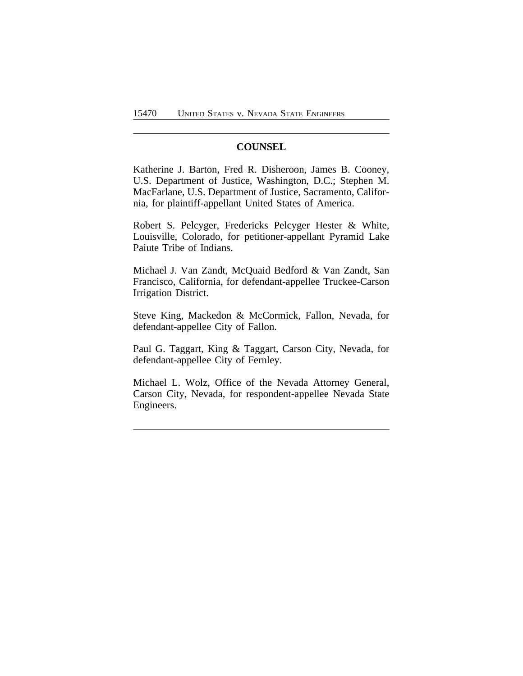## **COUNSEL**

Katherine J. Barton, Fred R. Disheroon, James B. Cooney, U.S. Department of Justice, Washington, D.C.; Stephen M. MacFarlane, U.S. Department of Justice, Sacramento, California, for plaintiff-appellant United States of America.

Robert S. Pelcyger, Fredericks Pelcyger Hester & White, Louisville, Colorado, for petitioner-appellant Pyramid Lake Paiute Tribe of Indians.

Michael J. Van Zandt, McQuaid Bedford & Van Zandt, San Francisco, California, for defendant-appellee Truckee-Carson Irrigation District.

Steve King, Mackedon & McCormick, Fallon, Nevada, for defendant-appellee City of Fallon.

Paul G. Taggart, King & Taggart, Carson City, Nevada, for defendant-appellee City of Fernley.

Michael L. Wolz, Office of the Nevada Attorney General, Carson City, Nevada, for respondent-appellee Nevada State Engineers.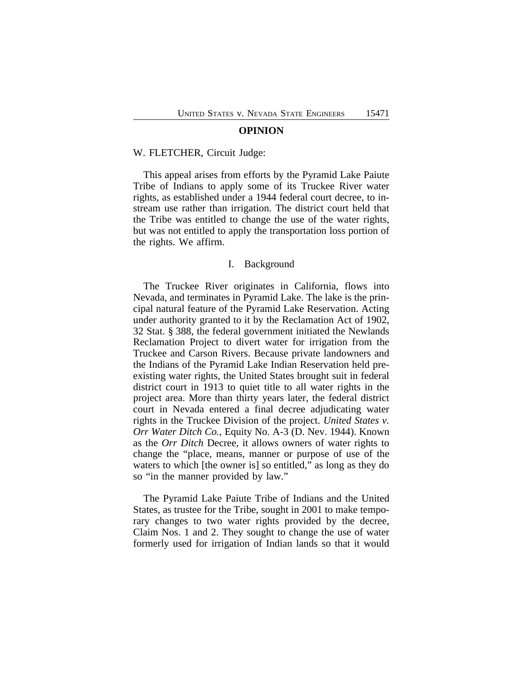#### **OPINION**

#### W. FLETCHER, Circuit Judge:

This appeal arises from efforts by the Pyramid Lake Paiute Tribe of Indians to apply some of its Truckee River water rights, as established under a 1944 federal court decree, to instream use rather than irrigation. The district court held that the Tribe was entitled to change the use of the water rights, but was not entitled to apply the transportation loss portion of the rights. We affirm.

#### I. Background

The Truckee River originates in California, flows into Nevada, and terminates in Pyramid Lake. The lake is the principal natural feature of the Pyramid Lake Reservation. Acting under authority granted to it by the Reclamation Act of 1902, 32 Stat. § 388, the federal government initiated the Newlands Reclamation Project to divert water for irrigation from the Truckee and Carson Rivers. Because private landowners and the Indians of the Pyramid Lake Indian Reservation held preexisting water rights, the United States brought suit in federal district court in 1913 to quiet title to all water rights in the project area. More than thirty years later, the federal district court in Nevada entered a final decree adjudicating water rights in the Truckee Division of the project. *United States v. Orr Water Ditch Co.*, Equity No. A-3 (D. Nev. 1944). Known as the *Orr Ditch* Decree, it allows owners of water rights to change the "place, means, manner or purpose of use of the waters to which [the owner is] so entitled," as long as they do so "in the manner provided by law."

The Pyramid Lake Paiute Tribe of Indians and the United States, as trustee for the Tribe, sought in 2001 to make temporary changes to two water rights provided by the decree, Claim Nos. 1 and 2. They sought to change the use of water formerly used for irrigation of Indian lands so that it would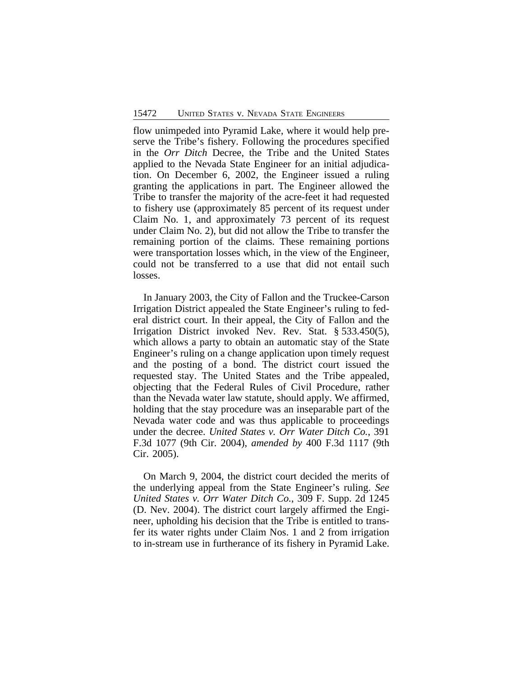flow unimpeded into Pyramid Lake, where it would help preserve the Tribe's fishery. Following the procedures specified in the *Orr Ditch* Decree, the Tribe and the United States applied to the Nevada State Engineer for an initial adjudication. On December 6, 2002, the Engineer issued a ruling granting the applications in part. The Engineer allowed the Tribe to transfer the majority of the acre-feet it had requested to fishery use (approximately 85 percent of its request under Claim No. 1, and approximately 73 percent of its request under Claim No. 2), but did not allow the Tribe to transfer the remaining portion of the claims. These remaining portions were transportation losses which, in the view of the Engineer, could not be transferred to a use that did not entail such losses.

In January 2003, the City of Fallon and the Truckee-Carson Irrigation District appealed the State Engineer's ruling to federal district court. In their appeal, the City of Fallon and the Irrigation District invoked Nev. Rev. Stat. § 533.450(5), which allows a party to obtain an automatic stay of the State Engineer's ruling on a change application upon timely request and the posting of a bond. The district court issued the requested stay. The United States and the Tribe appealed, objecting that the Federal Rules of Civil Procedure, rather than the Nevada water law statute, should apply. We affirmed, holding that the stay procedure was an inseparable part of the Nevada water code and was thus applicable to proceedings under the decree. *United States v. Orr Water Ditch Co.*, 391 F.3d 1077 (9th Cir. 2004), *amended by* 400 F.3d 1117 (9th Cir. 2005).

On March 9, 2004, the district court decided the merits of the underlying appeal from the State Engineer's ruling. *See United States v. Orr Water Ditch Co.*, 309 F. Supp. 2d 1245 (D. Nev. 2004). The district court largely affirmed the Engineer, upholding his decision that the Tribe is entitled to transfer its water rights under Claim Nos. 1 and 2 from irrigation to in-stream use in furtherance of its fishery in Pyramid Lake.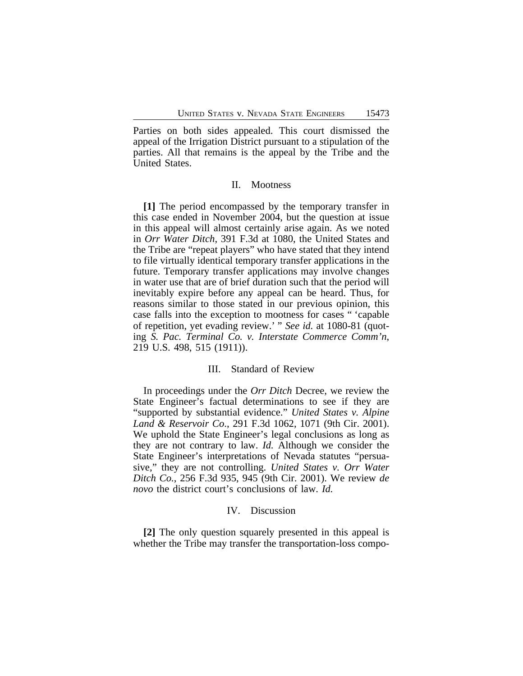Parties on both sides appealed. This court dismissed the appeal of the Irrigation District pursuant to a stipulation of the parties. All that remains is the appeal by the Tribe and the United States.

#### II. Mootness

**[1]** The period encompassed by the temporary transfer in this case ended in November 2004, but the question at issue in this appeal will almost certainly arise again. As we noted in *Orr Water Ditch*, 391 F.3d at 1080, the United States and the Tribe are "repeat players" who have stated that they intend to file virtually identical temporary transfer applications in the future. Temporary transfer applications may involve changes in water use that are of brief duration such that the period will inevitably expire before any appeal can be heard. Thus, for reasons similar to those stated in our previous opinion, this case falls into the exception to mootness for cases " 'capable of repetition, yet evading review.' " *See id.* at 1080-81 (quoting *S. Pac. Terminal Co. v. Interstate Commerce Comm'n*, 219 U.S. 498, 515 (1911)).

#### III. Standard of Review

In proceedings under the *Orr Ditch* Decree, we review the State Engineer's factual determinations to see if they are "supported by substantial evidence." *United States v. Alpine Land & Reservoir Co*., 291 F.3d 1062, 1071 (9th Cir. 2001). We uphold the State Engineer's legal conclusions as long as they are not contrary to law. *Id.* Although we consider the State Engineer's interpretations of Nevada statutes "persuasive," they are not controlling. *United States v. Orr Water Ditch Co.*, 256 F.3d 935, 945 (9th Cir. 2001). We review *de novo* the district court's conclusions of law. *Id.*

#### IV. Discussion

**[2]** The only question squarely presented in this appeal is whether the Tribe may transfer the transportation-loss compo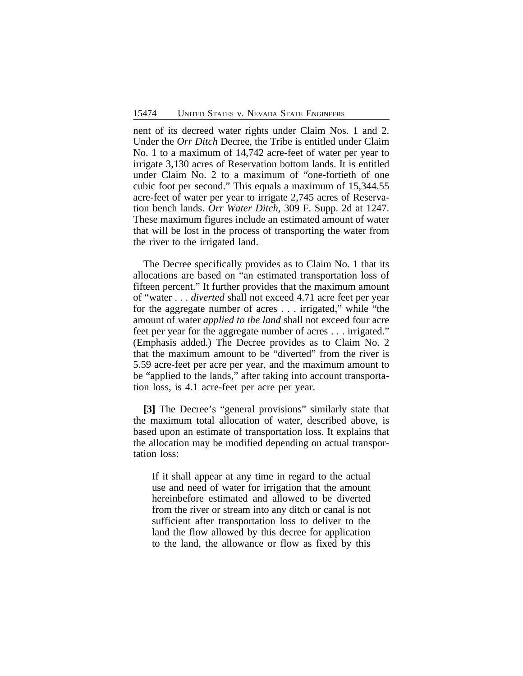nent of its decreed water rights under Claim Nos. 1 and 2. Under the *Orr Ditch* Decree, the Tribe is entitled under Claim No. 1 to a maximum of 14,742 acre-feet of water per year to irrigate 3,130 acres of Reservation bottom lands. It is entitled under Claim No. 2 to a maximum of "one-fortieth of one cubic foot per second." This equals a maximum of 15,344.55 acre-feet of water per year to irrigate 2,745 acres of Reservation bench lands. *Orr Water Ditch*, 309 F. Supp. 2d at 1247. These maximum figures include an estimated amount of water that will be lost in the process of transporting the water from the river to the irrigated land.

The Decree specifically provides as to Claim No. 1 that its allocations are based on "an estimated transportation loss of fifteen percent." It further provides that the maximum amount of "water . . . *diverted* shall not exceed 4.71 acre feet per year for the aggregate number of acres . . . irrigated," while "the amount of water *applied to the land* shall not exceed four acre feet per year for the aggregate number of acres . . . irrigated." (Emphasis added.) The Decree provides as to Claim No. 2 that the maximum amount to be "diverted" from the river is 5.59 acre-feet per acre per year, and the maximum amount to be "applied to the lands," after taking into account transportation loss, is 4.1 acre-feet per acre per year.

**[3]** The Decree's "general provisions" similarly state that the maximum total allocation of water, described above, is based upon an estimate of transportation loss. It explains that the allocation may be modified depending on actual transportation loss:

If it shall appear at any time in regard to the actual use and need of water for irrigation that the amount hereinbefore estimated and allowed to be diverted from the river or stream into any ditch or canal is not sufficient after transportation loss to deliver to the land the flow allowed by this decree for application to the land, the allowance or flow as fixed by this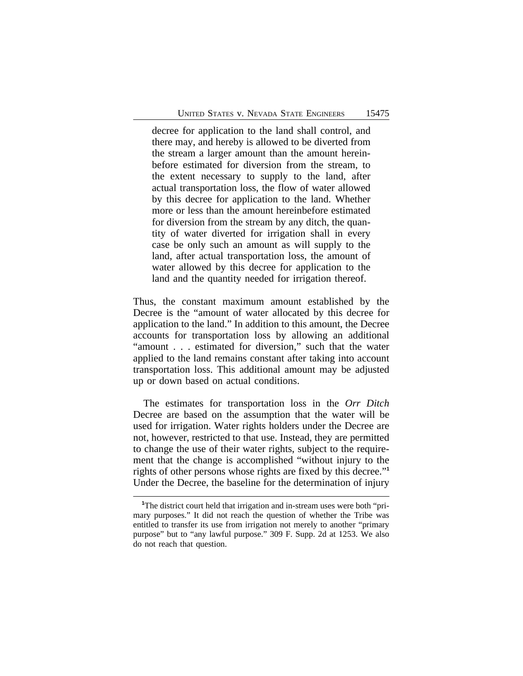decree for application to the land shall control, and there may, and hereby is allowed to be diverted from the stream a larger amount than the amount hereinbefore estimated for diversion from the stream, to the extent necessary to supply to the land, after actual transportation loss, the flow of water allowed by this decree for application to the land. Whether more or less than the amount hereinbefore estimated for diversion from the stream by any ditch, the quantity of water diverted for irrigation shall in every case be only such an amount as will supply to the land, after actual transportation loss, the amount of water allowed by this decree for application to the land and the quantity needed for irrigation thereof.

Thus, the constant maximum amount established by the Decree is the "amount of water allocated by this decree for application to the land." In addition to this amount, the Decree accounts for transportation loss by allowing an additional "amount . . . estimated for diversion," such that the water applied to the land remains constant after taking into account transportation loss. This additional amount may be adjusted up or down based on actual conditions.

The estimates for transportation loss in the *Orr Ditch* Decree are based on the assumption that the water will be used for irrigation. Water rights holders under the Decree are not, however, restricted to that use. Instead, they are permitted to change the use of their water rights, subject to the requirement that the change is accomplished "without injury to the rights of other persons whose rights are fixed by this decree." **1** Under the Decree, the baseline for the determination of injury

<sup>&</sup>lt;sup>1</sup>The district court held that irrigation and in-stream uses were both "primary purposes." It did not reach the question of whether the Tribe was entitled to transfer its use from irrigation not merely to another "primary purpose" but to "any lawful purpose." 309 F. Supp. 2d at 1253. We also do not reach that question.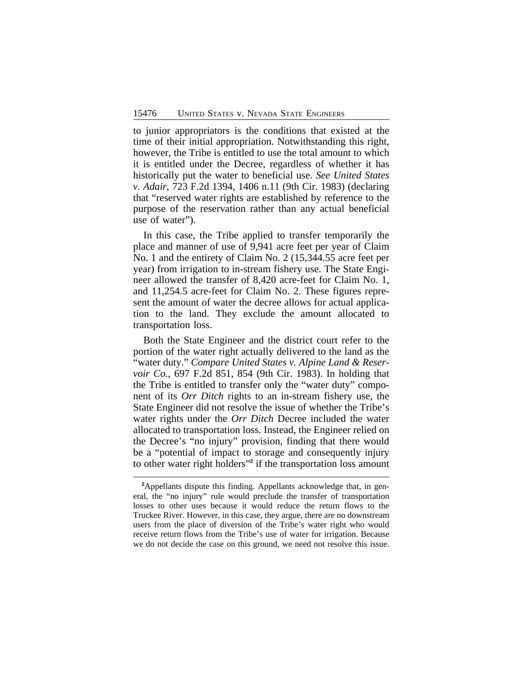to junior appropriators is the conditions that existed at the time of their initial appropriation. Notwithstanding this right, however, the Tribe is entitled to use the total amount to which it is entitled under the Decree, regardless of whether it has historically put the water to beneficial use. *See United States v. Adair*, 723 F.2d 1394, 1406 n.11 (9th Cir. 1983) (declaring that "reserved water rights are established by reference to the purpose of the reservation rather than any actual beneficial use of water").

In this case, the Tribe applied to transfer temporarily the place and manner of use of 9,941 acre feet per year of Claim No. 1 and the entirety of Claim No. 2 (15,344.55 acre feet per year) from irrigation to in-stream fishery use. The State Engineer allowed the transfer of 8,420 acre-feet for Claim No. 1, and 11,254.5 acre-feet for Claim No. 2. These figures represent the amount of water the decree allows for actual application to the land. They exclude the amount allocated to transportation loss.

Both the State Engineer and the district court refer to the portion of the water right actually delivered to the land as the "water duty." *Compare United States v. Alpine Land & Reservoir Co.*, 697 F.2d 851, 854 (9th Cir. 1983). In holding that the Tribe is entitled to transfer only the "water duty" component of its *Orr Ditch* rights to an in-stream fishery use, the State Engineer did not resolve the issue of whether the Tribe's water rights under the *Orr Ditch* Decree included the water allocated to transportation loss. Instead, the Engineer relied on the Decree's "no injury" provision, finding that there would be a "potential of impact to storage and consequently injury to other water right holders" **2** if the transportation loss amount

**<sup>2</sup>**Appellants dispute this finding. Appellants acknowledge that, in general, the "no injury" rule would preclude the transfer of transportation losses to other uses because it would reduce the return flows to the Truckee River. However, in this case, they argue, there are no downstream users from the place of diversion of the Tribe's water right who would receive return flows from the Tribe's use of water for irrigation. Because we do not decide the case on this ground, we need not resolve this issue.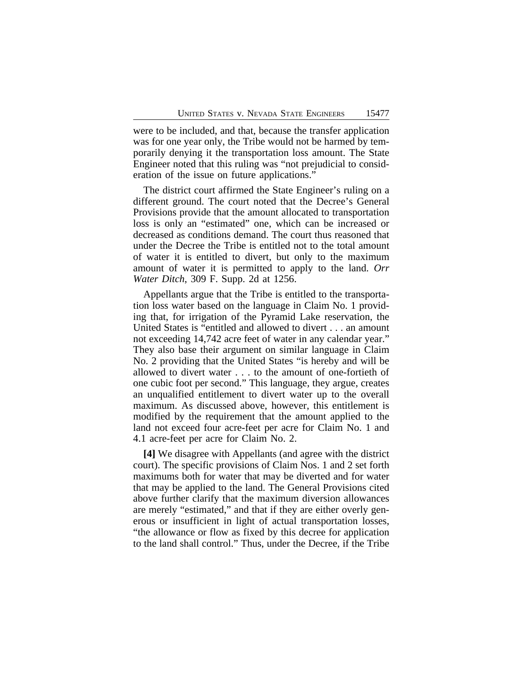were to be included, and that, because the transfer application was for one year only, the Tribe would not be harmed by temporarily denying it the transportation loss amount. The State Engineer noted that this ruling was "not prejudicial to consideration of the issue on future applications."

The district court affirmed the State Engineer's ruling on a different ground. The court noted that the Decree's General Provisions provide that the amount allocated to transportation loss is only an "estimated" one, which can be increased or decreased as conditions demand. The court thus reasoned that under the Decree the Tribe is entitled not to the total amount of water it is entitled to divert, but only to the maximum amount of water it is permitted to apply to the land. *Orr Water Ditch*, 309 F. Supp. 2d at 1256.

Appellants argue that the Tribe is entitled to the transportation loss water based on the language in Claim No. 1 providing that, for irrigation of the Pyramid Lake reservation, the United States is "entitled and allowed to divert . . . an amount not exceeding 14,742 acre feet of water in any calendar year." They also base their argument on similar language in Claim No. 2 providing that the United States "is hereby and will be allowed to divert water . . . to the amount of one-fortieth of one cubic foot per second." This language, they argue, creates an unqualified entitlement to divert water up to the overall maximum. As discussed above, however, this entitlement is modified by the requirement that the amount applied to the land not exceed four acre-feet per acre for Claim No. 1 and 4.1 acre-feet per acre for Claim No. 2.

**[4]** We disagree with Appellants (and agree with the district court). The specific provisions of Claim Nos. 1 and 2 set forth maximums both for water that may be diverted and for water that may be applied to the land. The General Provisions cited above further clarify that the maximum diversion allowances are merely "estimated," and that if they are either overly generous or insufficient in light of actual transportation losses, "the allowance or flow as fixed by this decree for application to the land shall control." Thus, under the Decree, if the Tribe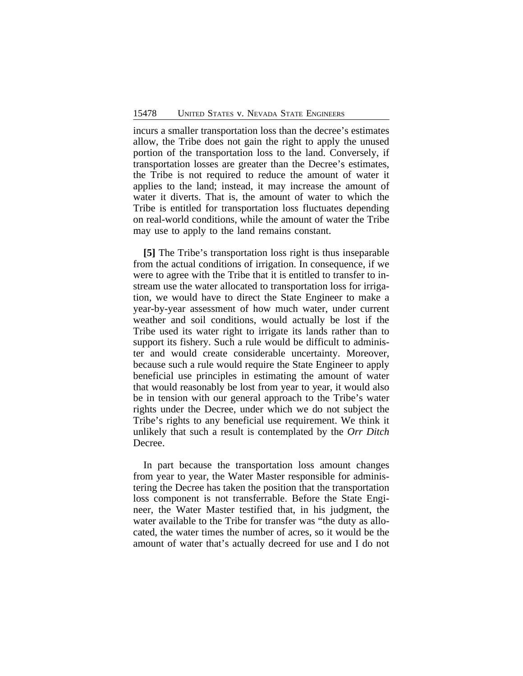incurs a smaller transportation loss than the decree's estimates allow, the Tribe does not gain the right to apply the unused portion of the transportation loss to the land. Conversely, if transportation losses are greater than the Decree's estimates, the Tribe is not required to reduce the amount of water it applies to the land; instead, it may increase the amount of water it diverts. That is, the amount of water to which the Tribe is entitled for transportation loss fluctuates depending on real-world conditions, while the amount of water the Tribe may use to apply to the land remains constant.

**[5]** The Tribe's transportation loss right is thus inseparable from the actual conditions of irrigation. In consequence, if we were to agree with the Tribe that it is entitled to transfer to instream use the water allocated to transportation loss for irrigation, we would have to direct the State Engineer to make a year-by-year assessment of how much water, under current weather and soil conditions, would actually be lost if the Tribe used its water right to irrigate its lands rather than to support its fishery. Such a rule would be difficult to administer and would create considerable uncertainty. Moreover, because such a rule would require the State Engineer to apply beneficial use principles in estimating the amount of water that would reasonably be lost from year to year, it would also be in tension with our general approach to the Tribe's water rights under the Decree, under which we do not subject the Tribe's rights to any beneficial use requirement. We think it unlikely that such a result is contemplated by the *Orr Ditch* Decree.

In part because the transportation loss amount changes from year to year, the Water Master responsible for administering the Decree has taken the position that the transportation loss component is not transferrable. Before the State Engineer, the Water Master testified that, in his judgment, the water available to the Tribe for transfer was "the duty as allocated, the water times the number of acres, so it would be the amount of water that's actually decreed for use and I do not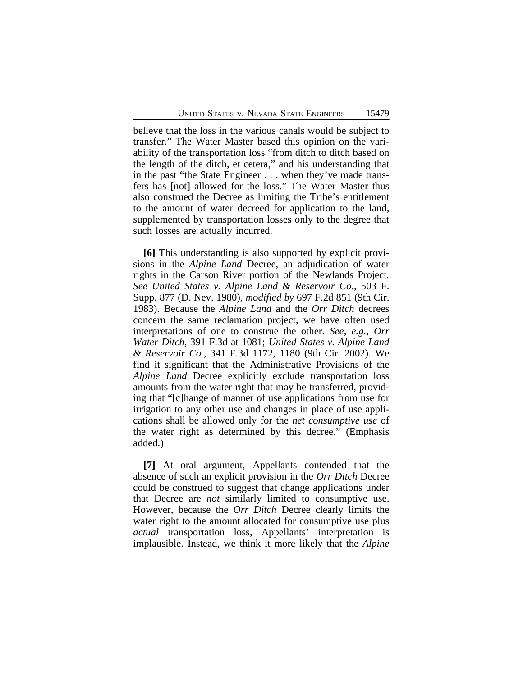believe that the loss in the various canals would be subject to transfer." The Water Master based this opinion on the variability of the transportation loss "from ditch to ditch based on the length of the ditch, et cetera," and his understanding that in the past "the State Engineer . . . when they've made transfers has [not] allowed for the loss." The Water Master thus also construed the Decree as limiting the Tribe's entitlement to the amount of water decreed for application to the land, supplemented by transportation losses only to the degree that such losses are actually incurred.

**[6]** This understanding is also supported by explicit provisions in the *Alpine Land* Decree, an adjudication of water rights in the Carson River portion of the Newlands Project*. See United States v. Alpine Land & Reservoir Co*., 503 F. Supp. 877 (D. Nev. 1980), *modified by* 697 F.2d 851 (9th Cir. 1983). Because the *Alpine Land* and the *Orr Ditch* decrees concern the same reclamation project, we have often used interpretations of one to construe the other. *See*, *e.g., Orr Water Ditch*, 391 F.3d at 1081; *United States v. Alpine Land & Reservoir Co.*, 341 F.3d 1172, 1180 (9th Cir. 2002). We find it significant that the Administrative Provisions of the *Alpine Land* Decree explicitly exclude transportation loss amounts from the water right that may be transferred, providing that "[c]hange of manner of use applications from use for irrigation to any other use and changes in place of use applications shall be allowed only for the *net consumptive use* of the water right as determined by this decree." (Emphasis added.)

**[7]** At oral argument, Appellants contended that the absence of such an explicit provision in the *Orr Ditch* Decree could be construed to suggest that change applications under that Decree are *not* similarly limited to consumptive use. However, because the *Orr Ditch* Decree clearly limits the water right to the amount allocated for consumptive use plus *actual* transportation loss, Appellants' interpretation is implausible. Instead, we think it more likely that the *Alpine*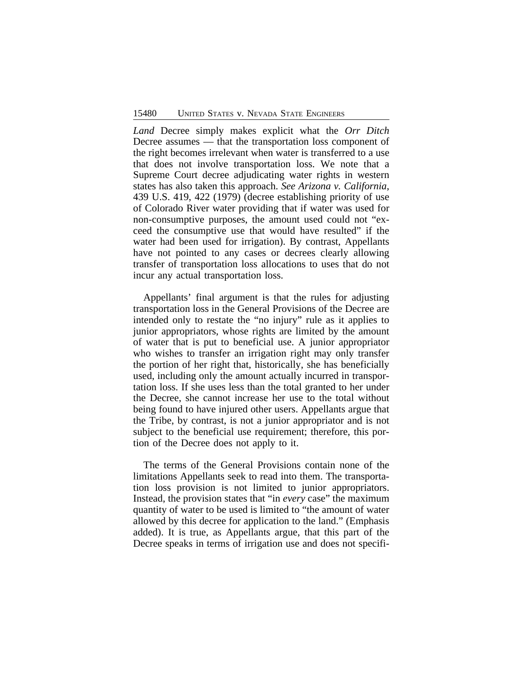*Land* Decree simply makes explicit what the *Orr Ditch* Decree assumes — that the transportation loss component of the right becomes irrelevant when water is transferred to a use that does not involve transportation loss. We note that a Supreme Court decree adjudicating water rights in western states has also taken this approach. *See Arizona v. California*, 439 U.S. 419, 422 (1979) (decree establishing priority of use of Colorado River water providing that if water was used for non-consumptive purposes, the amount used could not "exceed the consumptive use that would have resulted" if the water had been used for irrigation). By contrast, Appellants have not pointed to any cases or decrees clearly allowing transfer of transportation loss allocations to uses that do not incur any actual transportation loss.

Appellants' final argument is that the rules for adjusting transportation loss in the General Provisions of the Decree are intended only to restate the "no injury" rule as it applies to junior appropriators, whose rights are limited by the amount of water that is put to beneficial use. A junior appropriator who wishes to transfer an irrigation right may only transfer the portion of her right that, historically, she has beneficially used, including only the amount actually incurred in transportation loss. If she uses less than the total granted to her under the Decree, she cannot increase her use to the total without being found to have injured other users. Appellants argue that the Tribe, by contrast, is not a junior appropriator and is not subject to the beneficial use requirement; therefore, this portion of the Decree does not apply to it.

The terms of the General Provisions contain none of the limitations Appellants seek to read into them. The transportation loss provision is not limited to junior appropriators. Instead, the provision states that "in *every* case" the maximum quantity of water to be used is limited to "the amount of water allowed by this decree for application to the land." (Emphasis added). It is true, as Appellants argue, that this part of the Decree speaks in terms of irrigation use and does not specifi